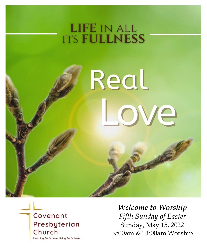## **LIFE IN ALL ITS FULLNESS**

*"My sheep hear my voice. I know them, and they follow me." John 10:27*

# Real ove



*Welcome to Worship Fifth Sunday of Easter* Sunday, May 15, 2022 9:00am & 11:00am Worship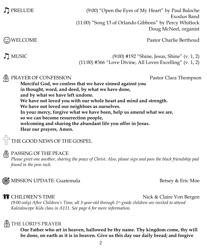PRELUDE (9:00) "Open the Eyes of My Heart" by Paul Baloche Exodus Band (11:00) "Song 13 of Orlando Gibbons" by Percy Whitlock Doug McNeel, organist

(<del>C</del>) WELCOME Pastor Charlie Berthoud

MUSIC (9:00) #192 "Shine, Jesus, Shine" (v. 1, 2) (11:00) #366 "Love Divine, All Loves Excelling" (v. 1, 2)

#### PRAYER OF CONFESSION Pastor Clara Thompson

**Merciful God, we confess that we have sinned against you in thought, word, and deed, by what we have done, and by what we have left undone. We have not loved you with our whole heart and mind and strength. We have not loved our neighbors as ourselves. In your mercy, forgive what we have been, help us amend what we are, so we can become resurrection people, welcoming and sharing the abundant life you offer in Jesus. Hear our prayers, Amen.** 

 $\overrightarrow{a}$  THE GOOD NEWS OF THE GOSPEL

#### A PASSING OF THE PEACE

*Please greet one another, sharing the peace of Christ. Also, please sign and pass the black friendship pad found in the pew rack.*



**THE CHILDREN'S TIME** Nick & Claire Von Bergen

*(9:00 only) After Children's Time, all 3-year-old through 1st-grade children are invited to attend Kaleidoscope Kids class in A111. See page 6 for more information.*

#### THE LORD'S PRAYER

**Our Father who art in heaven, hallowed be thy name. Thy kingdom come, thy will be done, on earth as it is in heaven. Give us this day our daily bread; and forgive**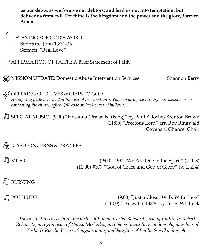**us our debts, as we forgive our debtors; and lead us not into temptation, but deliver us from evil. For thine is the kingdom and the power and the glory, forever. Amen.**

LISTENING FOR GOD'S WORD Scripture: John 13:31-35 Sermon: "Real Love"

 $\bigcap_{i=1}^{n}$  AFFIRMATION OF FAITH: A Brief Statement of Faith

**6** MISSION UPDATE: Domestic Abuse Intervention Services Shannon Berry

OFFERING OUR LIVES & GIFTS TO GOD

*An offering plate is located at the rear of the sanctuary. You can also give through our website or by contacting the church office. QR code on back cover of bulletin.*

SPECIAL MUSIC (9:00) "Hosanna (Praise is Rising)" by Paul Baloche/Brenton Brown (11:00) "Precious Lord" arr. Roy Ringwald Covenant Chancel Choir

JOYS, CONCERNS & PRAYERS

MUSIC (9:00) #300 "We Are One in the Spirit" (v. 1-3) (11:00) #307 "God of Grace and God of Glory" (v. 1, 2, 4)

**BLESSING** 

POSTLUDE (9:00) "Just a Closer Walk With Thee" (11:00) "Darwall's 148th" by Percy Whitlock

*Today's red roses celebrate the births of Roman Carter Rohowetz, son of Kaitlin & Robert Rohowetz, and grandson of Nancy McCulley; and Nova Imani Becerra Songolo, daughter of Tosha & Rogelio Becerra Songolo, and granddaughter of Emilie & Aliko Songolo.*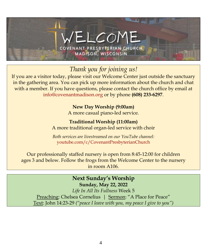

*Thank you for joining us!*

If you are a visitor today, please visit our Welcome Center just outside the sanctuary in the gathering area. You can pick up more information about the church and chat with a member. If you have questions, please contact the church office by email at [info@covenantmadison.org](file:///C:/Users/CPC11/Desktop/Bulletins/2022%20Bulletins/info@covenantmadison.org) or by phone **(608) 233-6297**.

> **New Day Worship (9:00am)** A more casual piano-led service.

**Traditional Worship (11:00am)** A more traditional organ-led service with choir

*Both services are livestreamed on our YouTube channel:* [youtube.com/c/CovenantPresbyterianChurch](http://www.youtube.com/c/CovenantPresbyterianChurch)

Our professionally staffed nursery is open from 8:45-12:00 for children ages 3 and below. Follow the frogs from the Welcome Center to the nursery in room A106.

> **Next Sunday's Worship Sunday, May 22, 2022**

*Life In All Its Fullness* Week 5 Preaching: Chelsea Cornelius | Sermon: "A Place for Peace" Text: John 14:23-29 *("peace I leave with you, my peace I give to you")*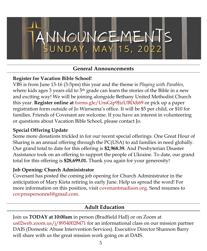

#### **General Announcements**

#### **Register for Vacation Bible School!**

VBS is from June 13-16 (3-5pm) this year and the theme is *Playing with Parables,* where kids ages 3 years old to 5<sup>th</sup> grade can learn the stories of the Bible in a new and exciting way! We will be joining alongside Bethany United Methodist Church this year. **Register online at** [forms.gle/UnsGip9JizUBDdi69](https://forms.gle/UnsGip9JizUBDdi69) or pick up a paper registration form outside of Jo Wiersema's office. It will be \$5 per child, or \$10 for families. Friends of Covenant are welcome. If you have an interest in volunteering or questions about Vacation Bible School, please contact Jo.

#### **Special Offering Update**

Some more donations trickled in for our recent special offerings. One Great Hour of Sharing is an annual offering through the PC(USA) to aid families in need globally. Our grand total to date for this offering is **\$2,968.39.** And Presbyterian Disaster Assistance took on an offering to support the people of Ukraine. To date, our grand total for this offering is **\$28,699.01.** Thank you again for your generosity!

#### **Job Opening: Church Administrator**

Covenant has posted the coming job opening for Church Administrator in the anticipation of Mary Kieta retiring in early June. Help us spread the word! For more information on this position, visit [covenantmadison.org.](http://www.covenantmadison.org/) Send resumes to [covprespersonnel@gmail.com.](mailto:covprespersonnel@gmail.com)

#### **Adult Education**

Join us **TODAY at 10:00am** in person (Bradfield Hall) or on Zoom at [us02web.zoom.us/j/89540028471](file:///C:/Users/Derek/Desktop/Bulletins/2022%20Bulletins/us02web.zoom.us/j/89540028471) for an informational class on our mission partner DAIS (Domestic Abuse Intervention Services). Executive Director Shannon Barry will share with us the great mission work going on at DAIS.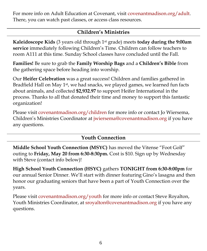For more info on Adult Education at Covenant, visit [covenantmadison.org/adult.](http://www.covenantmadison.org/adult) There, you can watch past classes, or access class resources.

#### **Children's Ministries**

**Kaleidoscope Kids** (3 years old through 1st grade) meets **today during the 9:00am service** immediately following Children's Time. Children can follow teachers to room A111 at this time. Sunday School classes have concluded until the Fall.

**Families!** Be sure to grab the **Family Worship Bags** and a **Children's Bible** from the gathering space before heading into worship.

Our **Heifer Celebration** was a great success! Children and families gathered in Bradfield Hall on May 1<sup>st</sup>, we had snacks, we played games, we learned fun facts about animals, and collected **\$2,932.97** to support Heifer International in the process. Thanks to all that donated their time and money to support this fantastic organization!

Please visit [covenantmadison.org/children](http://www.covenantmadison.org/children) for more info or contact Jo Wiersema, Children's Ministries Coordinator at [jwiersema@covenantmadison.org](mailto:jwiersema@covenantmadison.org) if you have any questions.

#### **Youth Connection**

**Middle School Youth Connection (MSYC)** has moved the Vitense "Foot Golf" outing to **Friday, May 20 from 6:30-8:30pm.** Cost is \$10. Sign up by Wednesday with Steve (contact info below)!

**High School Youth Connection (HSYC)** gathers **TONIGHT from 6:30-8:00pm** for our annual Senior Dinner. We'll start with dinner featuring Gino's lasagna and then honor our graduating seniors that have been a part of Youth Connection over the years.

Please visit [covenantmadison.org/youth](http://www.covenantmadison.org/youth) for more info or contact Steve Royalton, Youth Ministries Coordinator, at [sroyalton@covenantmadison.org](mailto:sroyalton@covenantmadison.org) if you have any questions.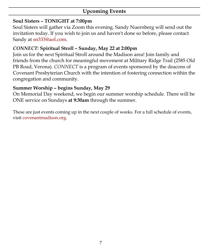#### **Upcoming Events**

#### **Soul Sisters – TONIGHT at 7:00pm**

Soul Sisters will gather via Zoom this evening. Sandy Nuernberg will send out the invitation today. If you wish to join us and haven't done so before, please contact Sandy at [sn333@aol.com.](mailto:sn333@aol.com)

#### *CONNECT:* **Spiritual Stroll – Sunday, May 22 at 2:00pm**

Join us for the next Spiritual Stroll around the Madison area! Join family and friends from the church for meaningful movement at Military Ridge Trail (2585 Old PB Road, Verona). *CONNECT* is a program of events sponsored by the deacons of Covenant Presbyterian Church with the intention of fostering connection within the congregation and community.

#### **Summer Worship – begins Sunday, May 29**

On Memorial Day weekend, we begin our summer worship schedule. There will be ONE service on Sundays **at 9:30am** through the summer.

These are just events coming up in the next couple of weeks. For a full schedule of events, visit [covenantmadison.org.](http://www.covenantmadison.org/)